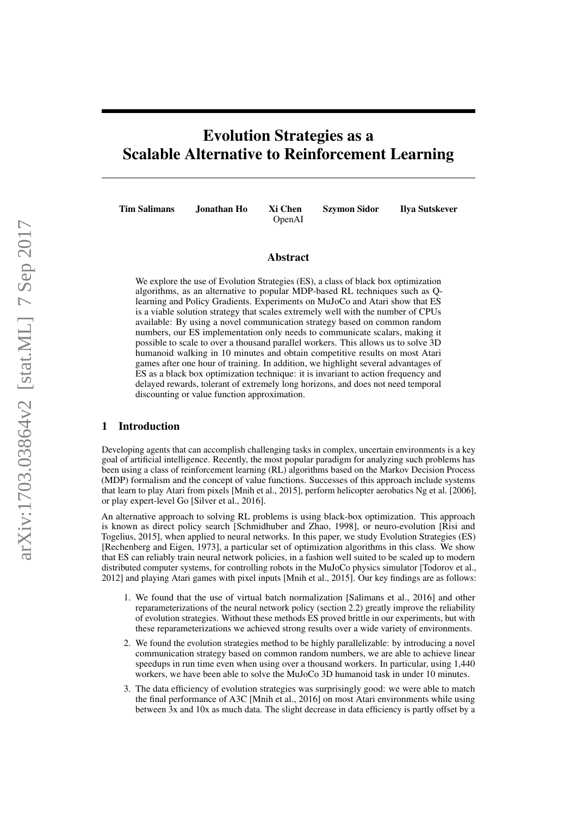# Evolution Strategies as a Scalable Alternative to Reinforcement Learning

OpenAI

Tim Salimans Jonathan Ho Xi Chen Szymon Sidor Ilya Sutskever

### Abstract

We explore the use of Evolution Strategies (ES), a class of black box optimization algorithms, as an alternative to popular MDP-based RL techniques such as Qlearning and Policy Gradients. Experiments on MuJoCo and Atari show that ES is a viable solution strategy that scales extremely well with the number of CPUs available: By using a novel communication strategy based on common random numbers, our ES implementation only needs to communicate scalars, making it possible to scale to over a thousand parallel workers. This allows us to solve 3D humanoid walking in 10 minutes and obtain competitive results on most Atari games after one hour of training. In addition, we highlight several advantages of ES as a black box optimization technique: it is invariant to action frequency and delayed rewards, tolerant of extremely long horizons, and does not need temporal discounting or value function approximation.

# 1 Introduction

Developing agents that can accomplish challenging tasks in complex, uncertain environments is a key goal of artificial intelligence. Recently, the most popular paradigm for analyzing such problems has been using a class of reinforcement learning (RL) algorithms based on the Markov Decision Process (MDP) formalism and the concept of value functions. Successes of this approach include systems that learn to play Atari from pixels [Mnih et al., 2015], perform helicopter aerobatics Ng et al. [2006], or play expert-level Go [Silver et al., 2016].

An alternative approach to solving RL problems is using black-box optimization. This approach is known as direct policy search [Schmidhuber and Zhao, 1998], or neuro-evolution [Risi and Togelius, 2015], when applied to neural networks. In this paper, we study Evolution Strategies (ES) [Rechenberg and Eigen, 1973], a particular set of optimization algorithms in this class. We show that ES can reliably train neural network policies, in a fashion well suited to be scaled up to modern distributed computer systems, for controlling robots in the MuJoCo physics simulator [Todorov et al., 2012] and playing Atari games with pixel inputs [Mnih et al., 2015]. Our key findings are as follows:

- 1. We found that the use of virtual batch normalization [Salimans et al., 2016] and other reparameterizations of the neural network policy (section 2.2) greatly improve the reliability of evolution strategies. Without these methods ES proved brittle in our experiments, but with these reparameterizations we achieved strong results over a wide variety of environments.
- 2. We found the evolution strategies method to be highly parallelizable: by introducing a novel communication strategy based on common random numbers, we are able to achieve linear speedups in run time even when using over a thousand workers. In particular, using 1,440 workers, we have been able to solve the MuJoCo 3D humanoid task in under 10 minutes.
- 3. The data efficiency of evolution strategies was surprisingly good: we were able to match the final performance of A3C [Mnih et al., 2016] on most Atari environments while using between  $\overline{3}x$  and  $10x$  as much data. The slight decrease in data efficiency is partly offset by a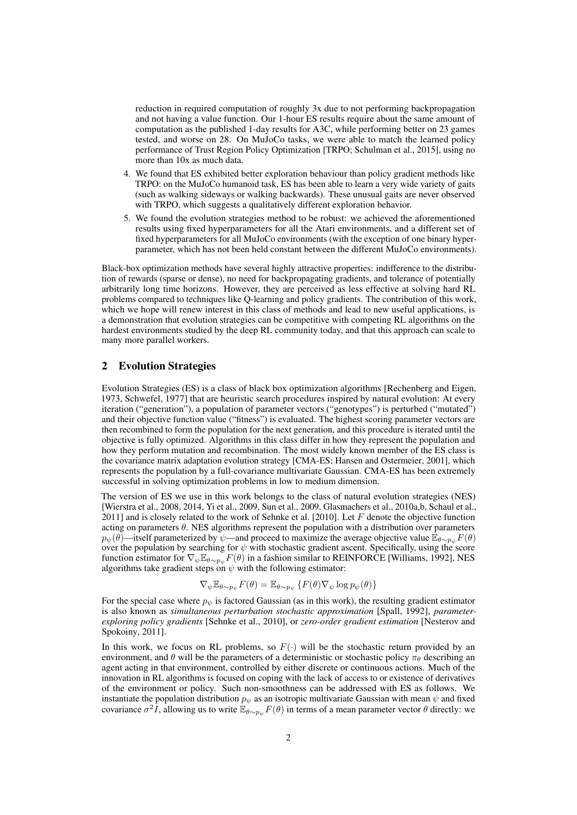reduction in required computation of roughly 3x due to not performing backpropagation and not having a value function. Our 1-hour ES results require about the same amount of computation as the published 1-day results for A3C, while performing better on 23 games tested, and worse on 28. On MuJoCo tasks, we were able to match the learned policy performance of Trust Region Policy Optimization [TRPO; Schulman et al., 2015], using no more than 10x as much data.

- 4. We found that ES exhibited better exploration behaviour than policy gradient methods like TRPO: on the MuJoCo humanoid task, ES has been able to learn a very wide variety of gaits (such as walking sideways or walking backwards). These unusual gaits are never observed with TRPO, which suggests a qualitatively different exploration behavior.
- 5. We found the evolution strategies method to be robust: we achieved the aforementioned results using fixed hyperparameters for all the Atari environments, and a different set of fixed hyperparameters for all MuJoCo environments (with the exception of one binary hyperparameter, which has not been held constant between the different MuJoCo environments).

Black-box optimization methods have several highly attractive properties: indifference to the distribution of rewards (sparse or dense), no need for backpropagating gradients, and tolerance of potentially arbitrarily long time horizons. However, they are perceived as less effective at solving hard RL problems compared to techniques like Q-learning and policy gradients. The contribution of this work, which we hope will renew interest in this class of methods and lead to new useful applications, is a demonstration that evolution strategies can be competitive with competing RL algorithms on the hardest environments studied by the deep RL community today, and that this approach can scale to many more parallel workers.

# 2 Evolution Strategies

Evolution Strategies (ES) is a class of black box optimization algorithms [Rechenberg and Eigen, 1973, Schwefel, 1977] that are heuristic search procedures inspired by natural evolution: At every iteration ("generation"), a population of parameter vectors ("genotypes") is perturbed ("mutated") and their objective function value ("fitness") is evaluated. The highest scoring parameter vectors are then recombined to form the population for the next generation, and this procedure is iterated until the objective is fully optimized. Algorithms in this class differ in how they represent the population and how they perform mutation and recombination. The most widely known member of the ES class is the covariance matrix adaptation evolution strategy [CMA-ES; Hansen and Ostermeier, 2001], which represents the population by a full-covariance multivariate Gaussian. CMA-ES has been extremely successful in solving optimization problems in low to medium dimension.

The version of ES we use in this work belongs to the class of natural evolution strategies (NES) [Wierstra et al., 2008, 2014, Yi et al., 2009, Sun et al., 2009, Glasmachers et al., 2010a,b, Schaul et al., 2011] and is closely related to the work of Sehnke et al. [2010]. Let  $F$  denote the objective function acting on parameters  $\theta$ . NES algorithms represent the population with a distribution over parameters  $p_{\psi}(\theta)$ —itself parameterized by  $\psi$ —and proceed to maximize the average objective value  $\mathbb{E}_{\theta \sim p_{\psi}} F(\theta)$ over the population by searching for  $\psi$  with stochastic gradient ascent. Specifically, using the score function estimator for  $\nabla_{\psi} \mathbb{E}_{\theta \sim p_{\psi}} F(\theta)$  in a fashion similar to REINFORCE [Williams, 1992], NES algorithms take gradient steps on  $\psi$  with the following estimator:

$$
\nabla_{\psi} \mathbb{E}_{\theta \sim p_{\psi}} F(\theta) = \mathbb{E}_{\theta \sim p_{\psi}} \left\{ F(\theta) \nabla_{\psi} \log p_{\psi}(\theta) \right\}
$$

For the special case where  $p_{\psi}$  is factored Gaussian (as in this work), the resulting gradient estimator is also known as *simultaneous perturbation stochastic approximation* [Spall, 1992], *parameterexploring policy gradients* [Sehnke et al., 2010], or *zero-order gradient estimation* [Nesterov and Spokoiny, 2011].

In this work, we focus on RL problems, so  $F(\cdot)$  will be the stochastic return provided by an environment, and  $\theta$  will be the parameters of a deterministic or stochastic policy  $\pi_{\theta}$  describing an agent acting in that environment, controlled by either discrete or continuous actions. Much of the innovation in RL algorithms is focused on coping with the lack of access to or existence of derivatives of the environment or policy. Such non-smoothness can be addressed with ES as follows. We instantiate the population distribution  $p_{\psi}$  as an isotropic multivariate Gaussian with mean  $\psi$  and fixed covariance  $\sigma^2 I$ , allowing us to write  $\mathbb{E}_{\theta \sim p_{\psi}} F(\theta)$  in terms of a mean parameter vector  $\theta$  directly: we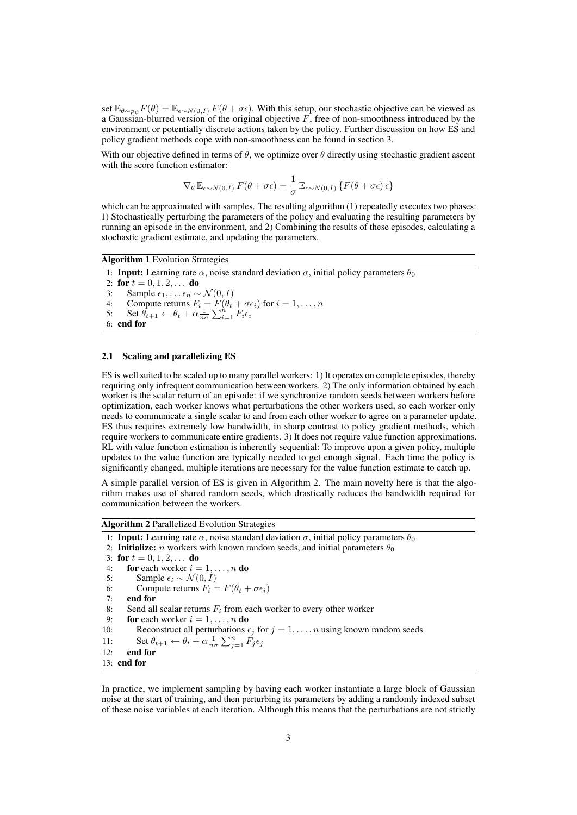set  $\mathbb{E}_{\theta \sim p_{\psi}} F(\theta) = \mathbb{E}_{\epsilon \sim N(0, I)} F(\theta + \sigma \epsilon)$ . With this setup, our stochastic objective can be viewed as a Gaussian-blurred version of the original objective  $F$ , free of non-smoothness introduced by the environment or potentially discrete actions taken by the policy. Further discussion on how ES and policy gradient methods cope with non-smoothness can be found in section 3.

With our objective defined in terms of  $\theta$ , we optimize over  $\theta$  directly using stochastic gradient ascent with the score function estimator:

$$
\nabla_{\theta} \mathbb{E}_{\epsilon \sim N(0,I)} F(\theta + \sigma \epsilon) = \frac{1}{\sigma} \mathbb{E}_{\epsilon \sim N(0,I)} \left\{ F(\theta + \sigma \epsilon) \epsilon \right\}
$$

which can be approximated with samples. The resulting algorithm (1) repeatedly executes two phases: 1) Stochastically perturbing the parameters of the policy and evaluating the resulting parameters by running an episode in the environment, and 2) Combining the results of these episodes, calculating a stochastic gradient estimate, and updating the parameters.

Algorithm 1 Evolution Strategies

1: **Input:** Learning rate  $\alpha$ , noise standard deviation  $\sigma$ , initial policy parameters  $\theta_0$ 2: for  $t = 0, 1, 2, \ldots$  do 3: Sample  $\epsilon_1, \ldots \epsilon_n \sim \mathcal{N}(0, I)$ <br>4: Compute returns  $F_i = F(\theta_i)$ 4: Compute returns  $F_i = F(\theta_t + \sigma \epsilon_i)$  for  $i = 1, ..., n$ 5: Set  $\theta_{t+1} \leftarrow \theta_t + \alpha \frac{1}{n\sigma} \sum_{i=1}^n F_i \epsilon_i$ 6: end for

# 2.1 Scaling and parallelizing ES

ES is well suited to be scaled up to many parallel workers: 1) It operates on complete episodes, thereby requiring only infrequent communication between workers. 2) The only information obtained by each worker is the scalar return of an episode: if we synchronize random seeds between workers before optimization, each worker knows what perturbations the other workers used, so each worker only needs to communicate a single scalar to and from each other worker to agree on a parameter update. ES thus requires extremely low bandwidth, in sharp contrast to policy gradient methods, which require workers to communicate entire gradients. 3) It does not require value function approximations. RL with value function estimation is inherently sequential: To improve upon a given policy, multiple updates to the value function are typically needed to get enough signal. Each time the policy is significantly changed, multiple iterations are necessary for the value function estimate to catch up.

A simple parallel version of ES is given in Algorithm 2. The main novelty here is that the algorithm makes use of shared random seeds, which drastically reduces the bandwidth required for communication between the workers.

Algorithm 2 Parallelized Evolution Strategies

```
1: Input: Learning rate \alpha, noise standard deviation \sigma, initial policy parameters \theta_0
```
2: **Initialize:** *n* workers with known random seeds, and initial parameters  $\theta_0$ 

```
3: for t = 0, 1, 2, \ldots do<br>4: for each worker i =
```

```
4: for each worker i = 1, ..., n do<br>5: Sample \epsilon_i \sim \mathcal{N}(0, I)
```

```
5: Sample \epsilon_i \sim \mathcal{N}(0, I)<br>6: Compute returns F_i =6: Compute returns F_i = F(\theta_t + \sigma \epsilon_i)<br>7. end for
```
end for

```
8: Send all scalar returns F_i from each worker to every other worker \mathbf{\hat{p}} = \mathbf{\hat{p}}_i \cdot \mathbf{\hat{p}}_i for each worker i = 1, ..., n do
```
9: **for** each worker  $i = 1, ..., n$  **do**<br>10: **Reconstruct all perturbations**  $\epsilon$ 

```
10: Reconstruct all perturbations \epsilon_j for j = 1, ..., n using known random seeds
```

```
11: Set \theta_{t+1} \leftarrow \theta_t + \alpha \frac{1}{n\sigma} \sum_{j=1}^n \vec{F}_j \epsilon_j
```

```
12: end for
```

```
13: end for
```
In practice, we implement sampling by having each worker instantiate a large block of Gaussian noise at the start of training, and then perturbing its parameters by adding a randomly indexed subset of these noise variables at each iteration. Although this means that the perturbations are not strictly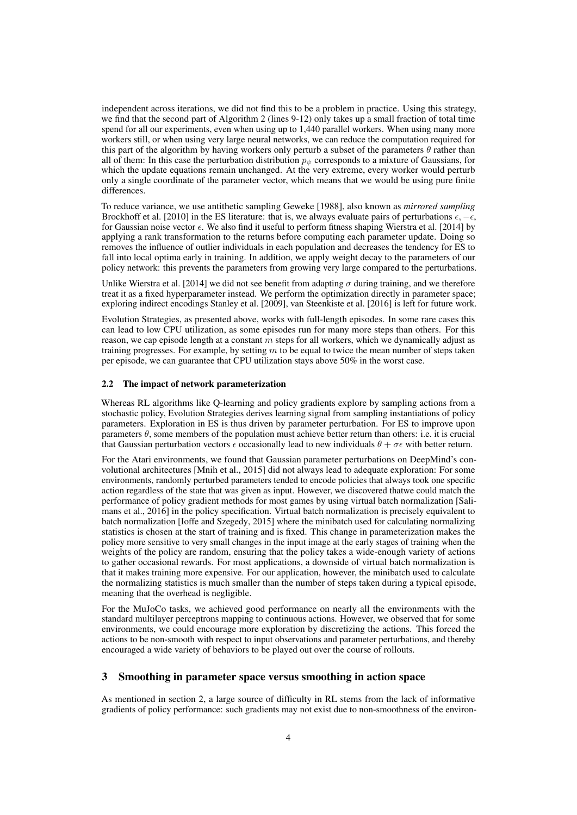independent across iterations, we did not find this to be a problem in practice. Using this strategy, we find that the second part of Algorithm 2 (lines 9-12) only takes up a small fraction of total time spend for all our experiments, even when using up to 1,440 parallel workers. When using many more workers still, or when using very large neural networks, we can reduce the computation required for this part of the algorithm by having workers only perturb a subset of the parameters  $\theta$  rather than all of them: In this case the perturbation distribution  $p_{\psi}$  corresponds to a mixture of Gaussians, for which the update equations remain unchanged. At the very extreme, every worker would perturb only a single coordinate of the parameter vector, which means that we would be using pure finite differences.

To reduce variance, we use antithetic sampling Geweke [1988], also known as *mirrored sampling* Brockhoff et al. [2010] in the ES literature: that is, we always evaluate pairs of perturbations  $\epsilon, -\epsilon$ , for Gaussian noise vector  $\epsilon$ . We also find it useful to perform fitness shaping Wierstra et al. [2014] by applying a rank transformation to the returns before computing each parameter update. Doing so removes the influence of outlier individuals in each population and decreases the tendency for ES to fall into local optima early in training. In addition, we apply weight decay to the parameters of our policy network: this prevents the parameters from growing very large compared to the perturbations.

Unlike Wierstra et al. [2014] we did not see benefit from adapting  $\sigma$  during training, and we therefore treat it as a fixed hyperparameter instead. We perform the optimization directly in parameter space; exploring indirect encodings Stanley et al. [2009], van Steenkiste et al. [2016] is left for future work.

Evolution Strategies, as presented above, works with full-length episodes. In some rare cases this can lead to low CPU utilization, as some episodes run for many more steps than others. For this reason, we cap episode length at a constant m steps for all workers, which we dynamically adjust as training progresses. For example, by setting  $m$  to be equal to twice the mean number of steps taken per episode, we can guarantee that CPU utilization stays above 50% in the worst case.

### 2.2 The impact of network parameterization

Whereas RL algorithms like Q-learning and policy gradients explore by sampling actions from a stochastic policy, Evolution Strategies derives learning signal from sampling instantiations of policy parameters. Exploration in ES is thus driven by parameter perturbation. For ES to improve upon parameters  $\theta$ , some members of the population must achieve better return than others: i.e. it is crucial that Gaussian perturbation vectors  $\epsilon$  occasionally lead to new individuals  $\theta + \sigma \epsilon$  with better return.

For the Atari environments, we found that Gaussian parameter perturbations on DeepMind's convolutional architectures [Mnih et al., 2015] did not always lead to adequate exploration: For some environments, randomly perturbed parameters tended to encode policies that always took one specific action regardless of the state that was given as input. However, we discovered thatwe could match the performance of policy gradient methods for most games by using virtual batch normalization [Salimans et al., 2016] in the policy specification. Virtual batch normalization is precisely equivalent to batch normalization [Ioffe and Szegedy, 2015] where the minibatch used for calculating normalizing statistics is chosen at the start of training and is fixed. This change in parameterization makes the policy more sensitive to very small changes in the input image at the early stages of training when the weights of the policy are random, ensuring that the policy takes a wide-enough variety of actions to gather occasional rewards. For most applications, a downside of virtual batch normalization is that it makes training more expensive. For our application, however, the minibatch used to calculate the normalizing statistics is much smaller than the number of steps taken during a typical episode, meaning that the overhead is negligible.

For the MuJoCo tasks, we achieved good performance on nearly all the environments with the standard multilayer perceptrons mapping to continuous actions. However, we observed that for some environments, we could encourage more exploration by discretizing the actions. This forced the actions to be non-smooth with respect to input observations and parameter perturbations, and thereby encouraged a wide variety of behaviors to be played out over the course of rollouts.

# 3 Smoothing in parameter space versus smoothing in action space

As mentioned in section 2, a large source of difficulty in RL stems from the lack of informative gradients of policy performance: such gradients may not exist due to non-smoothness of the environ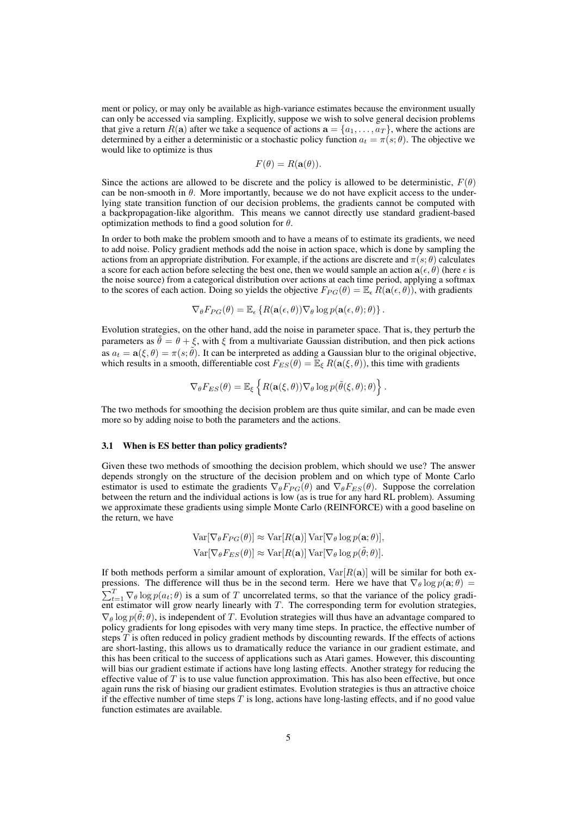ment or policy, or may only be available as high-variance estimates because the environment usually can only be accessed via sampling. Explicitly, suppose we wish to solve general decision problems that give a return  $R(a)$  after we take a sequence of actions  $a = \{a_1, \ldots, a_T\}$ , where the actions are determined by a either a deterministic or a stochastic policy function  $a_t = \pi(s; \theta)$ . The objective we would like to optimize is thus

$$
F(\theta) = R(\mathbf{a}(\theta)).
$$

Since the actions are allowed to be discrete and the policy is allowed to be deterministic,  $F(\theta)$ can be non-smooth in  $\theta$ . More importantly, because we do not have explicit access to the underlying state transition function of our decision problems, the gradients cannot be computed with a backpropagation-like algorithm. This means we cannot directly use standard gradient-based optimization methods to find a good solution for  $\theta$ .

In order to both make the problem smooth and to have a means of to estimate its gradients, we need to add noise. Policy gradient methods add the noise in action space, which is done by sampling the actions from an appropriate distribution. For example, if the actions are discrete and  $\pi(s; \theta)$  calculates a score for each action before selecting the best one, then we would sample an action  $a(\epsilon, \theta)$  (here  $\epsilon$  is the noise source) from a categorical distribution over actions at each time period, applying a softmax to the scores of each action. Doing so yields the objective  $F_{PG}(\theta) = \mathbb{E}_{\epsilon} R(\mathbf{a}(\epsilon, \theta))$ , with gradients

$$
\nabla_{\theta} F_{PG}(\theta) = \mathbb{E}_{\epsilon} \left\{ R(\mathbf{a}(\epsilon, \theta)) \nabla_{\theta} \log p(\mathbf{a}(\epsilon, \theta); \theta) \right\}.
$$

Evolution strategies, on the other hand, add the noise in parameter space. That is, they perturb the parameters as  $\tilde{\theta} = \theta + \xi$ , with  $\xi$  from a multivariate Gaussian distribution, and then pick actions as  $a_t = \mathbf{a}(\xi, \theta) = \pi(s; \tilde{\theta})$ . It can be interpreted as adding a Gaussian blur to the original objective, which results in a smooth, differentiable cost  $F_{ES}(\theta) = \mathbb{E}_{\xi} R(\mathbf{a}(\xi, \theta))$ , this time with gradients

$$
\nabla_{\theta} F_{ES}(\theta) = \mathbb{E}_{\xi} \left\{ R(\mathbf{a}(\xi, \theta)) \nabla_{\theta} \log p(\tilde{\theta}(\xi, \theta); \theta) \right\}.
$$

The two methods for smoothing the decision problem are thus quite similar, and can be made even more so by adding noise to both the parameters and the actions.

#### 3.1 When is ES better than policy gradients?

Given these two methods of smoothing the decision problem, which should we use? The answer depends strongly on the structure of the decision problem and on which type of Monte Carlo estimator is used to estimate the gradients  $\nabla_{\theta} F_{PG}(\theta)$  and  $\nabla_{\theta} F_{ES}(\theta)$ . Suppose the correlation between the return and the individual actions is low (as is true for any hard RL problem). Assuming we approximate these gradients using simple Monte Carlo (REINFORCE) with a good baseline on the return, we have

$$
\operatorname{Var}[\nabla_{\theta} F_{PG}(\theta)] \approx \operatorname{Var}[R(\mathbf{a})] \operatorname{Var}[\nabla_{\theta} \log p(\mathbf{a}; \theta)],
$$
  

$$
\operatorname{Var}[\nabla_{\theta} F_{ES}(\theta)] \approx \operatorname{Var}[R(\mathbf{a})] \operatorname{Var}[\nabla_{\theta} \log p(\tilde{\theta}; \theta)].
$$

If both methods perform a similar amount of exploration,  $Var[R(a)]$  will be similar for both expressions. The difference will thus be in the second term. Here we have that  $\nabla_{\theta} \log p(\mathbf{a}; \theta) =$  $\sum_{t=1}^{T} \nabla_{\theta} \log p(a_t; \theta)$  is a sum of T uncorrelated terms, so that the variance of the policy gradient estimator will grow nearly linearly with T. The corresponding term for evolution strategies,  $\nabla_{\theta} \log p(\tilde{\theta}; \theta)$ , is independent of T. Evolution strategies will thus have an advantage compared to policy gradients for long episodes with very many time steps. In practice, the effective number of steps T is often reduced in policy gradient methods by discounting rewards. If the effects of actions are short-lasting, this allows us to dramatically reduce the variance in our gradient estimate, and this has been critical to the success of applications such as Atari games. However, this discounting will bias our gradient estimate if actions have long lasting effects. Another strategy for reducing the effective value of  $T$  is to use value function approximation. This has also been effective, but once again runs the risk of biasing our gradient estimates. Evolution strategies is thus an attractive choice if the effective number of time steps  $T$  is long, actions have long-lasting effects, and if no good value function estimates are available.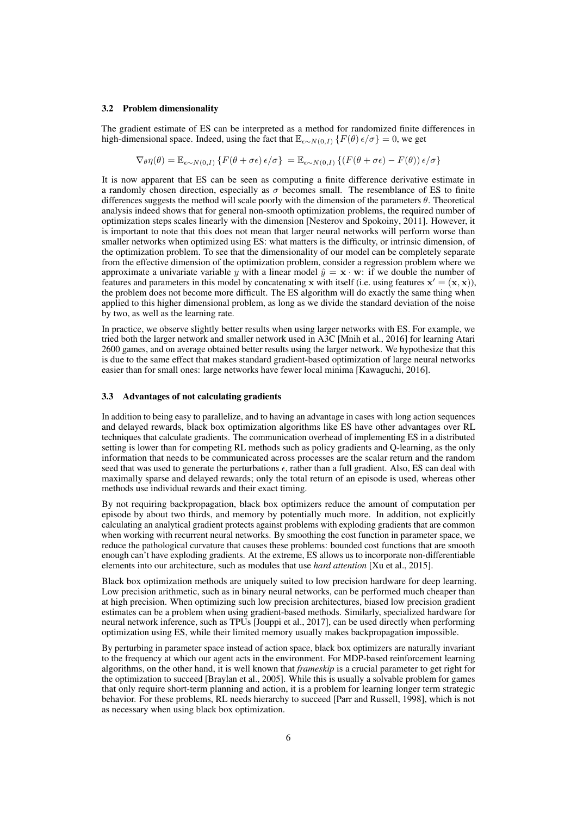#### 3.2 Problem dimensionality

The gradient estimate of ES can be interpreted as a method for randomized finite differences in high-dimensional space. Indeed, using the fact that  $\mathbb{E}_{\epsilon \sim N(0, I)} \{F(\theta) \epsilon / \sigma\} = 0$ , we get

$$
\nabla_{\theta} \eta(\theta) = \mathbb{E}_{\epsilon \sim N(0,I)} \left\{ F(\theta + \sigma \epsilon) \epsilon / \sigma \right\} = \mathbb{E}_{\epsilon \sim N(0,I)} \left\{ \left( F(\theta + \sigma \epsilon) - F(\theta) \right) \epsilon / \sigma \right\}
$$

It is now apparent that ES can be seen as computing a finite difference derivative estimate in a randomly chosen direction, especially as  $\sigma$  becomes small. The resemblance of ES to finite differences suggests the method will scale poorly with the dimension of the parameters  $\theta$ . Theoretical analysis indeed shows that for general non-smooth optimization problems, the required number of optimization steps scales linearly with the dimension [Nesterov and Spokoiny, 2011]. However, it is important to note that this does not mean that larger neural networks will perform worse than smaller networks when optimized using ES: what matters is the difficulty, or intrinsic dimension, of the optimization problem. To see that the dimensionality of our model can be completely separate from the effective dimension of the optimization problem, consider a regression problem where we approximate a univariate variable y with a linear model  $\hat{y} = \mathbf{x} \cdot \mathbf{w}$ : if we double the number of features and parameters in this model by concatenating x with itself (i.e. using features  $x' = (x, x)$ ), the problem does not become more difficult. The ES algorithm will do exactly the same thing when applied to this higher dimensional problem, as long as we divide the standard deviation of the noise by two, as well as the learning rate.

In practice, we observe slightly better results when using larger networks with ES. For example, we tried both the larger network and smaller network used in A3C [Mnih et al., 2016] for learning Atari 2600 games, and on average obtained better results using the larger network. We hypothesize that this is due to the same effect that makes standard gradient-based optimization of large neural networks easier than for small ones: large networks have fewer local minima [Kawaguchi, 2016].

# 3.3 Advantages of not calculating gradients

In addition to being easy to parallelize, and to having an advantage in cases with long action sequences and delayed rewards, black box optimization algorithms like ES have other advantages over RL techniques that calculate gradients. The communication overhead of implementing ES in a distributed setting is lower than for competing RL methods such as policy gradients and Q-learning, as the only information that needs to be communicated across processes are the scalar return and the random seed that was used to generate the perturbations  $\epsilon$ , rather than a full gradient. Also, ES can deal with maximally sparse and delayed rewards; only the total return of an episode is used, whereas other methods use individual rewards and their exact timing.

By not requiring backpropagation, black box optimizers reduce the amount of computation per episode by about two thirds, and memory by potentially much more. In addition, not explicitly calculating an analytical gradient protects against problems with exploding gradients that are common when working with recurrent neural networks. By smoothing the cost function in parameter space, we reduce the pathological curvature that causes these problems: bounded cost functions that are smooth enough can't have exploding gradients. At the extreme, ES allows us to incorporate non-differentiable elements into our architecture, such as modules that use *hard attention* [Xu et al., 2015].

Black box optimization methods are uniquely suited to low precision hardware for deep learning. Low precision arithmetic, such as in binary neural networks, can be performed much cheaper than at high precision. When optimizing such low precision architectures, biased low precision gradient estimates can be a problem when using gradient-based methods. Similarly, specialized hardware for neural network inference, such as TPUs [Jouppi et al., 2017], can be used directly when performing optimization using ES, while their limited memory usually makes backpropagation impossible.

By perturbing in parameter space instead of action space, black box optimizers are naturally invariant to the frequency at which our agent acts in the environment. For MDP-based reinforcement learning algorithms, on the other hand, it is well known that *frameskip* is a crucial parameter to get right for the optimization to succeed [Braylan et al., 2005]. While this is usually a solvable problem for games that only require short-term planning and action, it is a problem for learning longer term strategic behavior. For these problems, RL needs hierarchy to succeed [Parr and Russell, 1998], which is not as necessary when using black box optimization.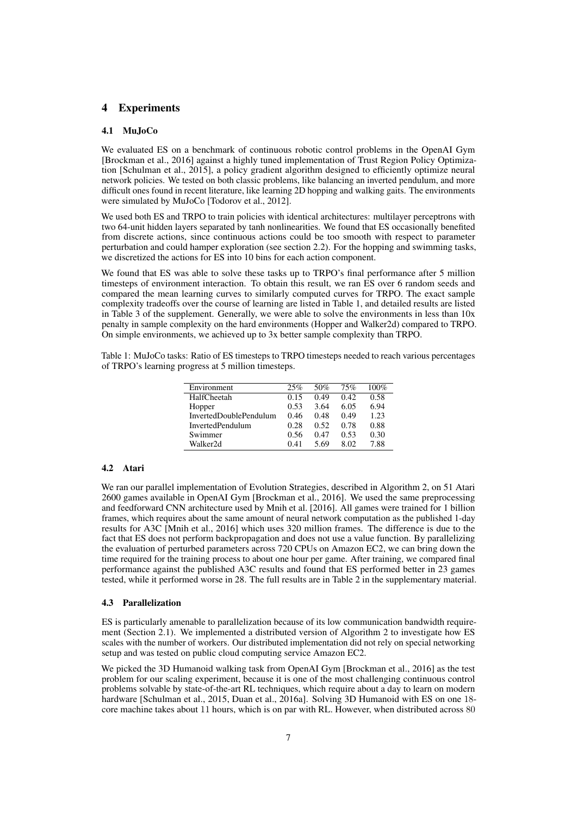## 4 Experiments

### 4.1 MuJoCo

We evaluated ES on a benchmark of continuous robotic control problems in the OpenAI Gym [Brockman et al., 2016] against a highly tuned implementation of Trust Region Policy Optimization [Schulman et al., 2015], a policy gradient algorithm designed to efficiently optimize neural network policies. We tested on both classic problems, like balancing an inverted pendulum, and more difficult ones found in recent literature, like learning 2D hopping and walking gaits. The environments were simulated by MuJoCo [Todorov et al., 2012].

We used both ES and TRPO to train policies with identical architectures: multilayer perceptrons with two 64-unit hidden layers separated by tanh nonlinearities. We found that ES occasionally benefited from discrete actions, since continuous actions could be too smooth with respect to parameter perturbation and could hamper exploration (see section 2.2). For the hopping and swimming tasks, we discretized the actions for ES into 10 bins for each action component.

We found that ES was able to solve these tasks up to TRPO's final performance after 5 million timesteps of environment interaction. To obtain this result, we ran ES over 6 random seeds and compared the mean learning curves to similarly computed curves for TRPO. The exact sample complexity tradeoffs over the course of learning are listed in Table 1, and detailed results are listed in Table  $3$  of the supplement. Generally, we were able to solve the environments in less than  $10x$ penalty in sample complexity on the hard environments (Hopper and Walker2d) compared to TRPO. On simple environments, we achieved up to 3x better sample complexity than TRPO.

Table 1: MuJoCo tasks: Ratio of ES timesteps to TRPO timesteps needed to reach various percentages of TRPO's learning progress at 5 million timesteps.

| Environment             | 25%  | 50%  | 75%  | 100% |
|-------------------------|------|------|------|------|
| HalfCheetah             | 0.15 | 0.49 | 0.42 | 0.58 |
| Hopper                  | 0.53 | 3.64 | 6.05 | 6.94 |
| InvertedDoublePendulum  | 0.46 | 0.48 | 0.49 | 1.23 |
| <b>InvertedPendulum</b> | 0.28 | 0.52 | 0.78 | 0.88 |
| Swimmer                 | 0.56 | 0.47 | 0.53 | 0.30 |
| Walker2d                | 0.41 | 5.69 | 8.02 | 7.88 |

## 4.2 Atari

We ran our parallel implementation of Evolution Strategies, described in Algorithm 2, on 51 Atari 2600 games available in OpenAI Gym [Brockman et al., 2016]. We used the same preprocessing and feedforward CNN architecture used by Mnih et al. [2016]. All games were trained for 1 billion frames, which requires about the same amount of neural network computation as the published 1-day results for A3C [Mnih et al., 2016] which uses 320 million frames. The difference is due to the fact that ES does not perform backpropagation and does not use a value function. By parallelizing the evaluation of perturbed parameters across 720 CPUs on Amazon EC2, we can bring down the time required for the training process to about one hour per game. After training, we compared final performance against the published A3C results and found that ES performed better in 23 games tested, while it performed worse in 28. The full results are in Table 2 in the supplementary material.

#### 4.3 Parallelization

ES is particularly amenable to parallelization because of its low communication bandwidth requirement (Section 2.1). We implemented a distributed version of Algorithm 2 to investigate how ES scales with the number of workers. Our distributed implementation did not rely on special networking setup and was tested on public cloud computing service Amazon EC2.

We picked the 3D Humanoid walking task from OpenAI Gym [Brockman et al., 2016] as the test problem for our scaling experiment, because it is one of the most challenging continuous control problems solvable by state-of-the-art RL techniques, which require about a day to learn on modern hardware [Schulman et al., 2015, Duan et al., 2016a]. Solving 3D Humanoid with ES on one 18 core machine takes about 11 hours, which is on par with RL. However, when distributed across 80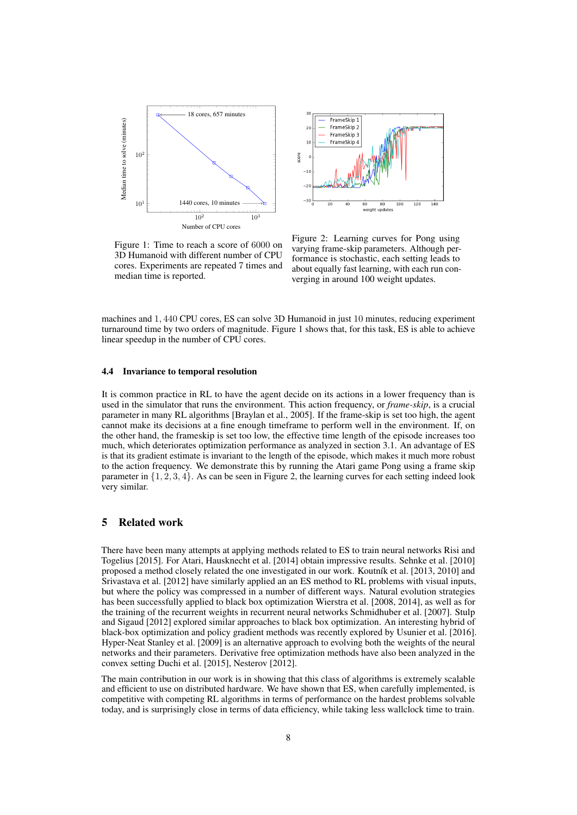



Figure 1: Time to reach a score of 6000 on 3D Humanoid with different number of CPU cores. Experiments are repeated 7 times and median time is reported.

Figure 2: Learning curves for Pong using varying frame-skip parameters. Although performance is stochastic, each setting leads to about equally fast learning, with each run converging in around 100 weight updates.

machines and 1, 440 CPU cores, ES can solve 3D Humanoid in just 10 minutes, reducing experiment turnaround time by two orders of magnitude. Figure 1 shows that, for this task, ES is able to achieve linear speedup in the number of CPU cores.

#### 4.4 Invariance to temporal resolution

It is common practice in RL to have the agent decide on its actions in a lower frequency than is used in the simulator that runs the environment. This action frequency, or *frame-skip*, is a crucial parameter in many RL algorithms [Braylan et al., 2005]. If the frame-skip is set too high, the agent cannot make its decisions at a fine enough timeframe to perform well in the environment. If, on the other hand, the frameskip is set too low, the effective time length of the episode increases too much, which deteriorates optimization performance as analyzed in section 3.1. An advantage of ES is that its gradient estimate is invariant to the length of the episode, which makes it much more robust to the action frequency. We demonstrate this by running the Atari game Pong using a frame skip parameter in  $\{1, 2, 3, 4\}$ . As can be seen in Figure 2, the learning curves for each setting indeed look very similar.

## 5 Related work

There have been many attempts at applying methods related to ES to train neural networks Risi and Togelius [2015]. For Atari, Hausknecht et al. [2014] obtain impressive results. Sehnke et al. [2010] proposed a method closely related the one investigated in our work. Koutník et al. [2013, 2010] and Srivastava et al. [2012] have similarly applied an an ES method to RL problems with visual inputs, but where the policy was compressed in a number of different ways. Natural evolution strategies has been successfully applied to black box optimization Wierstra et al. [2008, 2014], as well as for the training of the recurrent weights in recurrent neural networks Schmidhuber et al. [2007]. Stulp and Sigaud [2012] explored similar approaches to black box optimization. An interesting hybrid of black-box optimization and policy gradient methods was recently explored by Usunier et al. [2016]. Hyper-Neat Stanley et al. [2009] is an alternative approach to evolving both the weights of the neural networks and their parameters. Derivative free optimization methods have also been analyzed in the convex setting Duchi et al. [2015], Nesterov [2012].

The main contribution in our work is in showing that this class of algorithms is extremely scalable and efficient to use on distributed hardware. We have shown that ES, when carefully implemented, is competitive with competing RL algorithms in terms of performance on the hardest problems solvable today, and is surprisingly close in terms of data efficiency, while taking less wallclock time to train.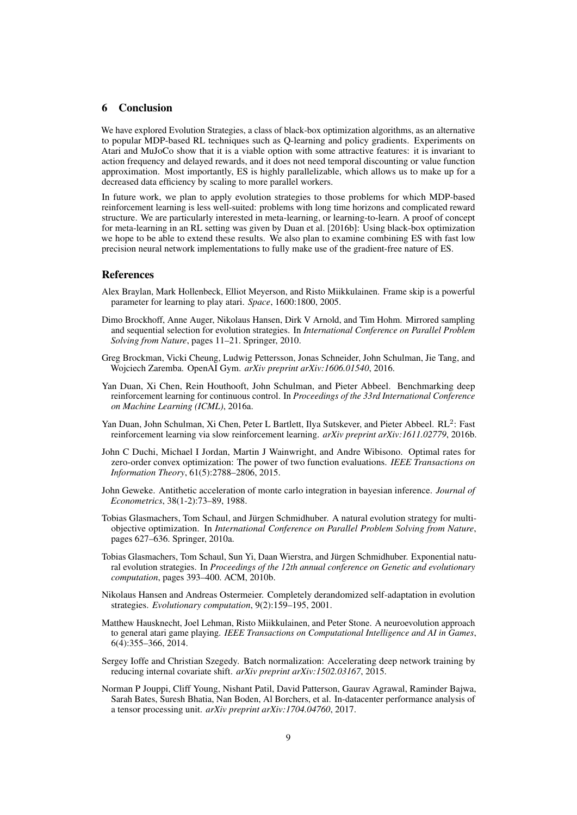## 6 Conclusion

We have explored Evolution Strategies, a class of black-box optimization algorithms, as an alternative to popular MDP-based RL techniques such as Q-learning and policy gradients. Experiments on Atari and MuJoCo show that it is a viable option with some attractive features: it is invariant to action frequency and delayed rewards, and it does not need temporal discounting or value function approximation. Most importantly, ES is highly parallelizable, which allows us to make up for a decreased data efficiency by scaling to more parallel workers.

In future work, we plan to apply evolution strategies to those problems for which MDP-based reinforcement learning is less well-suited: problems with long time horizons and complicated reward structure. We are particularly interested in meta-learning, or learning-to-learn. A proof of concept for meta-learning in an RL setting was given by Duan et al. [2016b]: Using black-box optimization we hope to be able to extend these results. We also plan to examine combining ES with fast low precision neural network implementations to fully make use of the gradient-free nature of ES.

## **References**

- Alex Braylan, Mark Hollenbeck, Elliot Meyerson, and Risto Miikkulainen. Frame skip is a powerful parameter for learning to play atari. *Space*, 1600:1800, 2005.
- Dimo Brockhoff, Anne Auger, Nikolaus Hansen, Dirk V Arnold, and Tim Hohm. Mirrored sampling and sequential selection for evolution strategies. In *International Conference on Parallel Problem Solving from Nature*, pages 11–21. Springer, 2010.
- Greg Brockman, Vicki Cheung, Ludwig Pettersson, Jonas Schneider, John Schulman, Jie Tang, and Wojciech Zaremba. OpenAI Gym. *arXiv preprint arXiv:1606.01540*, 2016.
- Yan Duan, Xi Chen, Rein Houthooft, John Schulman, and Pieter Abbeel. Benchmarking deep reinforcement learning for continuous control. In *Proceedings of the 33rd International Conference on Machine Learning (ICML)*, 2016a.
- Yan Duan, John Schulman, Xi Chen, Peter L Bartlett, Ilya Sutskever, and Pieter Abbeel. RL<sup>2</sup>: Fast reinforcement learning via slow reinforcement learning. *arXiv preprint arXiv:1611.02779*, 2016b.
- John C Duchi, Michael I Jordan, Martin J Wainwright, and Andre Wibisono. Optimal rates for zero-order convex optimization: The power of two function evaluations. *IEEE Transactions on Information Theory*, 61(5):2788–2806, 2015.
- John Geweke. Antithetic acceleration of monte carlo integration in bayesian inference. *Journal of Econometrics*, 38(1-2):73–89, 1988.
- Tobias Glasmachers, Tom Schaul, and Jürgen Schmidhuber. A natural evolution strategy for multiobjective optimization. In *International Conference on Parallel Problem Solving from Nature*, pages 627–636. Springer, 2010a.
- Tobias Glasmachers, Tom Schaul, Sun Yi, Daan Wierstra, and Jürgen Schmidhuber. Exponential natural evolution strategies. In *Proceedings of the 12th annual conference on Genetic and evolutionary computation*, pages 393–400. ACM, 2010b.
- Nikolaus Hansen and Andreas Ostermeier. Completely derandomized self-adaptation in evolution strategies. *Evolutionary computation*, 9(2):159–195, 2001.
- Matthew Hausknecht, Joel Lehman, Risto Miikkulainen, and Peter Stone. A neuroevolution approach to general atari game playing. *IEEE Transactions on Computational Intelligence and AI in Games*, 6(4):355–366, 2014.
- Sergey Ioffe and Christian Szegedy. Batch normalization: Accelerating deep network training by reducing internal covariate shift. *arXiv preprint arXiv:1502.03167*, 2015.
- Norman P Jouppi, Cliff Young, Nishant Patil, David Patterson, Gaurav Agrawal, Raminder Bajwa, Sarah Bates, Suresh Bhatia, Nan Boden, Al Borchers, et al. In-datacenter performance analysis of a tensor processing unit. *arXiv preprint arXiv:1704.04760*, 2017.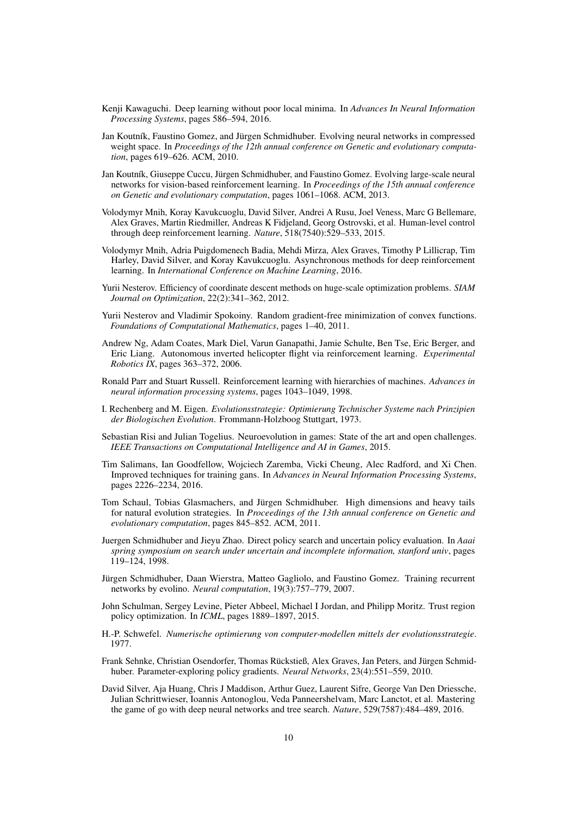- Kenji Kawaguchi. Deep learning without poor local minima. In *Advances In Neural Information Processing Systems*, pages 586–594, 2016.
- Jan Koutník, Faustino Gomez, and Jürgen Schmidhuber. Evolving neural networks in compressed weight space. In *Proceedings of the 12th annual conference on Genetic and evolutionary computation*, pages 619–626. ACM, 2010.
- Jan Koutník, Giuseppe Cuccu, Jürgen Schmidhuber, and Faustino Gomez. Evolving large-scale neural networks for vision-based reinforcement learning. In *Proceedings of the 15th annual conference on Genetic and evolutionary computation*, pages 1061–1068. ACM, 2013.
- Volodymyr Mnih, Koray Kavukcuoglu, David Silver, Andrei A Rusu, Joel Veness, Marc G Bellemare, Alex Graves, Martin Riedmiller, Andreas K Fidjeland, Georg Ostrovski, et al. Human-level control through deep reinforcement learning. *Nature*, 518(7540):529–533, 2015.
- Volodymyr Mnih, Adria Puigdomenech Badia, Mehdi Mirza, Alex Graves, Timothy P Lillicrap, Tim Harley, David Silver, and Koray Kavukcuoglu. Asynchronous methods for deep reinforcement learning. In *International Conference on Machine Learning*, 2016.
- Yurii Nesterov. Efficiency of coordinate descent methods on huge-scale optimization problems. *SIAM Journal on Optimization*, 22(2):341–362, 2012.
- Yurii Nesterov and Vladimir Spokoiny. Random gradient-free minimization of convex functions. *Foundations of Computational Mathematics*, pages 1–40, 2011.
- Andrew Ng, Adam Coates, Mark Diel, Varun Ganapathi, Jamie Schulte, Ben Tse, Eric Berger, and Eric Liang. Autonomous inverted helicopter flight via reinforcement learning. *Experimental Robotics IX*, pages 363–372, 2006.
- Ronald Parr and Stuart Russell. Reinforcement learning with hierarchies of machines. *Advances in neural information processing systems*, pages 1043–1049, 1998.
- I. Rechenberg and M. Eigen. *Evolutionsstrategie: Optimierung Technischer Systeme nach Prinzipien der Biologischen Evolution*. Frommann-Holzboog Stuttgart, 1973.
- Sebastian Risi and Julian Togelius. Neuroevolution in games: State of the art and open challenges. *IEEE Transactions on Computational Intelligence and AI in Games*, 2015.
- Tim Salimans, Ian Goodfellow, Wojciech Zaremba, Vicki Cheung, Alec Radford, and Xi Chen. Improved techniques for training gans. In *Advances in Neural Information Processing Systems*, pages 2226–2234, 2016.
- Tom Schaul, Tobias Glasmachers, and Jürgen Schmidhuber. High dimensions and heavy tails for natural evolution strategies. In *Proceedings of the 13th annual conference on Genetic and evolutionary computation*, pages 845–852. ACM, 2011.
- Juergen Schmidhuber and Jieyu Zhao. Direct policy search and uncertain policy evaluation. In *Aaai spring symposium on search under uncertain and incomplete information, stanford univ*, pages 119–124, 1998.
- Jürgen Schmidhuber, Daan Wierstra, Matteo Gagliolo, and Faustino Gomez. Training recurrent networks by evolino. *Neural computation*, 19(3):757–779, 2007.
- John Schulman, Sergey Levine, Pieter Abbeel, Michael I Jordan, and Philipp Moritz. Trust region policy optimization. In *ICML*, pages 1889–1897, 2015.
- H.-P. Schwefel. *Numerische optimierung von computer-modellen mittels der evolutionsstrategie*. 1977.
- Frank Sehnke, Christian Osendorfer, Thomas Rückstieß, Alex Graves, Jan Peters, and Jürgen Schmidhuber. Parameter-exploring policy gradients. *Neural Networks*, 23(4):551–559, 2010.
- David Silver, Aja Huang, Chris J Maddison, Arthur Guez, Laurent Sifre, George Van Den Driessche, Julian Schrittwieser, Ioannis Antonoglou, Veda Panneershelvam, Marc Lanctot, et al. Mastering the game of go with deep neural networks and tree search. *Nature*, 529(7587):484–489, 2016.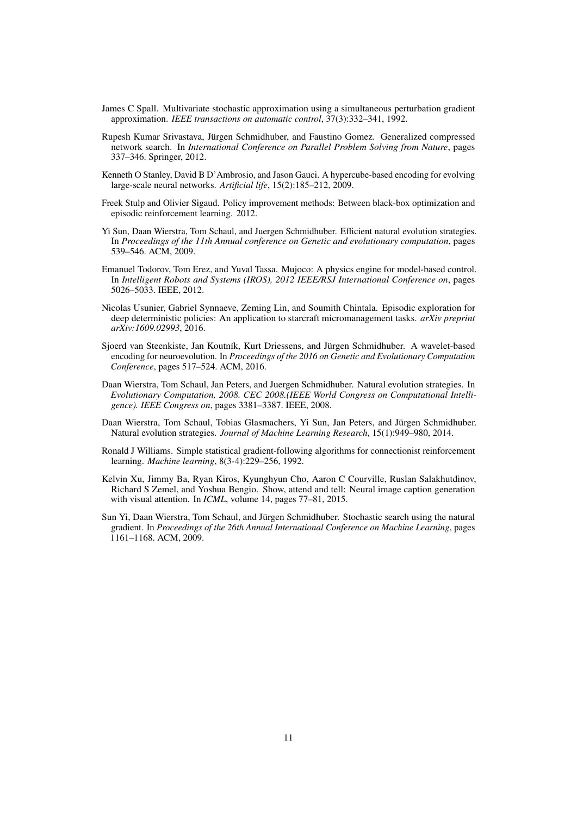- James C Spall. Multivariate stochastic approximation using a simultaneous perturbation gradient approximation. *IEEE transactions on automatic control*, 37(3):332–341, 1992.
- Rupesh Kumar Srivastava, Jürgen Schmidhuber, and Faustino Gomez. Generalized compressed network search. In *International Conference on Parallel Problem Solving from Nature*, pages 337–346. Springer, 2012.
- Kenneth O Stanley, David B D'Ambrosio, and Jason Gauci. A hypercube-based encoding for evolving large-scale neural networks. *Artificial life*, 15(2):185–212, 2009.
- Freek Stulp and Olivier Sigaud. Policy improvement methods: Between black-box optimization and episodic reinforcement learning. 2012.
- Yi Sun, Daan Wierstra, Tom Schaul, and Juergen Schmidhuber. Efficient natural evolution strategies. In *Proceedings of the 11th Annual conference on Genetic and evolutionary computation*, pages 539–546. ACM, 2009.
- Emanuel Todorov, Tom Erez, and Yuval Tassa. Mujoco: A physics engine for model-based control. In *Intelligent Robots and Systems (IROS), 2012 IEEE/RSJ International Conference on*, pages 5026–5033. IEEE, 2012.
- Nicolas Usunier, Gabriel Synnaeve, Zeming Lin, and Soumith Chintala. Episodic exploration for deep deterministic policies: An application to starcraft micromanagement tasks. *arXiv preprint arXiv:1609.02993*, 2016.
- Sjoerd van Steenkiste, Jan Koutník, Kurt Driessens, and Jürgen Schmidhuber. A wavelet-based encoding for neuroevolution. In *Proceedings of the 2016 on Genetic and Evolutionary Computation Conference*, pages 517–524. ACM, 2016.
- Daan Wierstra, Tom Schaul, Jan Peters, and Juergen Schmidhuber. Natural evolution strategies. In *Evolutionary Computation, 2008. CEC 2008.(IEEE World Congress on Computational Intelligence). IEEE Congress on*, pages 3381–3387. IEEE, 2008.
- Daan Wierstra, Tom Schaul, Tobias Glasmachers, Yi Sun, Jan Peters, and Jürgen Schmidhuber. Natural evolution strategies. *Journal of Machine Learning Research*, 15(1):949–980, 2014.
- Ronald J Williams. Simple statistical gradient-following algorithms for connectionist reinforcement learning. *Machine learning*, 8(3-4):229–256, 1992.
- Kelvin Xu, Jimmy Ba, Ryan Kiros, Kyunghyun Cho, Aaron C Courville, Ruslan Salakhutdinov, Richard S Zemel, and Yoshua Bengio. Show, attend and tell: Neural image caption generation with visual attention. In *ICML*, volume 14, pages 77–81, 2015.
- Sun Yi, Daan Wierstra, Tom Schaul, and Jürgen Schmidhuber. Stochastic search using the natural gradient. In *Proceedings of the 26th Annual International Conference on Machine Learning*, pages 1161–1168. ACM, 2009.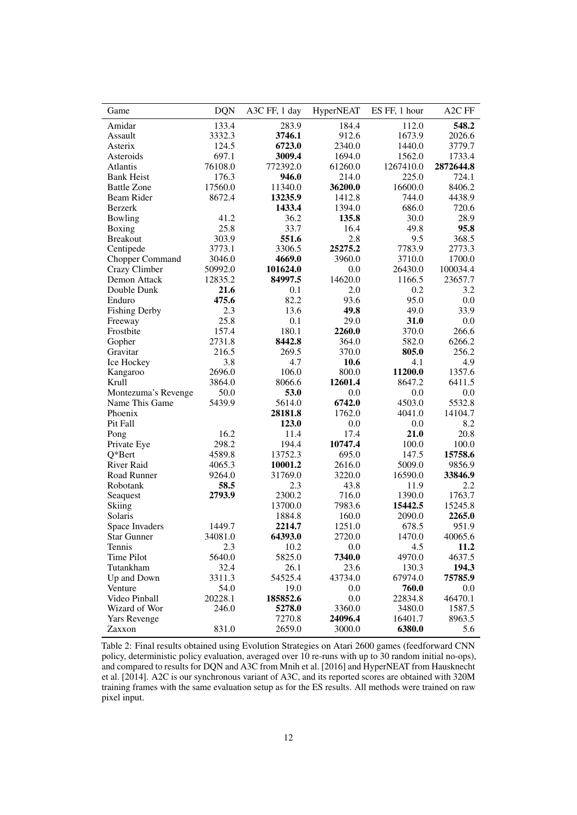| Game                 | <b>DQN</b> | A3C FF, 1 day | HyperNEAT | ES FF, 1 hour | A <sub>2</sub> C FF |
|----------------------|------------|---------------|-----------|---------------|---------------------|
| Amidar               | 133.4      | 283.9         | 184.4     | 112.0         | 548.2               |
| Assault              | 3332.3     | 3746.1        | 912.6     | 1673.9        | 2026.6              |
| Asterix              | 124.5      | 6723.0        | 2340.0    | 1440.0        | 3779.7              |
| Asteroids            | 697.1      | 3009.4        | 1694.0    | 1562.0        | 1733.4              |
| Atlantis             | 76108.0    | 772392.0      | 61260.0   | 1267410.0     | 2872644.8           |
| <b>Bank Heist</b>    | 176.3      | 946.0         | 214.0     | 225.0         | 724.1               |
| <b>Battle Zone</b>   | 17560.0    | 11340.0       | 36200.0   | 16600.0       | 8406.2              |
| Beam Rider           | 8672.4     | 13235.9       | 1412.8    | 744.0         | 4438.9              |
| Berzerk              |            | 1433.4        | 1394.0    | 686.0         | 720.6               |
| Bowling              | 41.2       | 36.2          | 135.8     | 30.0          | 28.9                |
| Boxing               | 25.8       | 33.7          | 16.4      | 49.8          | 95.8                |
| <b>Breakout</b>      | 303.9      | 551.6         | 2.8       | 9.5           | 368.5               |
| Centipede            | 3773.1     | 3306.5        | 25275.2   | 7783.9        | 2773.3              |
| Chopper Command      | 3046.0     | 4669.0        | 3960.0    | 3710.0        | 1700.0              |
| Crazy Climber        | 50992.0    | 101624.0      | $0.0\,$   | 26430.0       | 100034.4            |
| Demon Attack         | 12835.2    | 84997.5       | 14620.0   | 1166.5        | 23657.7             |
| Double Dunk          | 21.6       | 0.1           | 2.0       | 0.2           | 3.2                 |
| Enduro               | 475.6      | 82.2          | 93.6      | 95.0          | 0.0                 |
| <b>Fishing Derby</b> | 2.3        | 13.6          | 49.8      | 49.0          | 33.9                |
| Freeway              | 25.8       | 0.1           | 29.0      | 31.0          | 0.0                 |
| Frostbite            | 157.4      | 180.1         | 2260.0    | 370.0         | 266.6               |
| Gopher               | 2731.8     | 8442.8        | 364.0     | 582.0         | 6266.2              |
| Gravitar             | 216.5      | 269.5         | 370.0     | 805.0         | 256.2               |
| Ice Hockey           | 3.8        | 4.7           | 10.6      | 4.1           | 4.9                 |
| Kangaroo             | 2696.0     | 106.0         | 800.0     | 11200.0       | 1357.6              |
| Krull                | 3864.0     | 8066.6        | 12601.4   | 8647.2        | 6411.5              |
| Montezuma's Revenge  | 50.0       | 53.0          | 0.0       | 0.0           | 0.0                 |
| Name This Game       | 5439.9     | 5614.0        | 6742.0    | 4503.0        | 5532.8              |
| Phoenix              |            | 28181.8       | 1762.0    | 4041.0        | 14104.7             |
| Pit Fall             |            | 123.0         | 0.0       | 0.0           | 8.2                 |
| Pong                 | 16.2       | 11.4          | 17.4      | 21.0          | 20.8                |
| Private Eye          | 298.2      | 194.4         | 10747.4   | 100.0         | 100.0               |
| $Q*Bert$             | 4589.8     | 13752.3       | 695.0     | 147.5         | 15758.6             |
| <b>River Raid</b>    | 4065.3     | 10001.2       | 2616.0    | 5009.0        | 9856.9              |
| Road Runner          | 9264.0     | 31769.0       | 3220.0    | 16590.0       | 33846.9             |
| Robotank             | 58.5       | 2.3           | 43.8      | 11.9          | 2.2                 |
| Seaguest             | 2793.9     | 2300.2        | 716.0     | 1390.0        | 1763.7              |
| Skiing               |            | 13700.0       | 7983.6    | 15442.5       | 15245.8             |
| Solaris              |            | 1884.8        | 160.0     | 2090.0        | 2265.0              |
| Space Invaders       | 1449.7     | 2214.7        | 1251.0    | 678.5         | 951.9               |
| <b>Star Gunner</b>   | 34081.0    | 64393.0       | 2720.0    | 1470.0        | 40065.6             |
| Tennis               | 2.3        | 10.2          | 0.0       | 4.5           | 11.2                |
| Time Pilot           | 5640.0     | 5825.0        | 7340.0    | 4970.0        | 4637.5              |
| Tutankham            | 32.4       | 26.1          | 23.6      | 130.3         | 194.3               |
| Up and Down          | 3311.3     | 54525.4       | 43734.0   | 67974.0       | 75785.9             |
| Venture              | 54.0       | 19.0          | 0.0       | 760.0         | 0.0                 |
| Video Pinball        | 20228.1    | 185852.6      | 0.0       | 22834.8       | 46470.1             |
| Wizard of Wor        | 246.0      | 5278.0        | 3360.0    | 3480.0        | 1587.5              |
| Yars Revenge         |            | 7270.8        | 24096.4   | 16401.7       | 8963.5              |
| Zaxxon               | 831.0      | 2659.0        | 3000.0    | 6380.0        | 5.6                 |
|                      |            |               |           |               |                     |

Table 2: Final results obtained using Evolution Strategies on Atari 2600 games (feedforward CNN policy, deterministic policy evaluation, averaged over 10 re-runs with up to 30 random initial no-ops), and compared to results for DQN and A3C from Mnih et al. [2016] and HyperNEAT from Hausknecht et al. [2014]. A2C is our synchronous variant of A3C, and its reported scores are obtained with 320M training frames with the same evaluation setup as for the ES results. All methods were trained on raw pixel input.